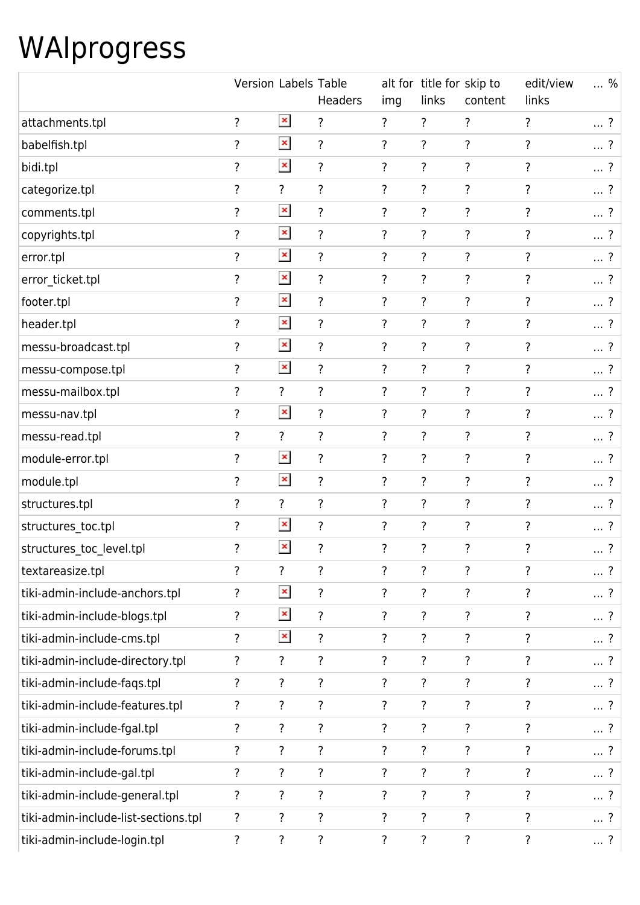## WAIprogress

|                                      | Version Labels Table |                    | <b>Headers</b>     | img                | alt for title for skip to<br>links | content            | edit/view<br>links | %          |
|--------------------------------------|----------------------|--------------------|--------------------|--------------------|------------------------------------|--------------------|--------------------|------------|
| attachments.tpl                      | $\overline{\cdot}$   | $\pmb{\times}$     | ?                  | ?                  | ?                                  | $\overline{?}$     | $\overline{?}$     | ?          |
| babelfish.tpl                        | ?                    | $\pmb{\times}$     | $\overline{\cdot}$ | $\overline{\cdot}$ | ?                                  | ?                  | ?                  | ?          |
| bidi.tpl                             | ?                    | $\pmb{\times}$     | ?                  | $\overline{?}$     | $\overline{\cdot}$                 | $\overline{?}$     | $\overline{\cdot}$ | $\ldots$ ? |
| categorize.tpl                       | ?                    | $\overline{\cdot}$ | $\overline{\cdot}$ | $\overline{\cdot}$ | $\overline{\cdot}$                 | $\overline{\cdot}$ | ?                  | $\ldots$ ? |
| comments.tpl                         | ?                    | $\pmb{\times}$     | $\overline{\cdot}$ | $\overline{\cdot}$ | $\overline{\cdot}$                 | $\overline{?}$     | $\overline{\cdot}$ | ?          |
| copyrights.tpl                       | ?                    | $\pmb{\times}$     | $\overline{\cdot}$ | $\overline{\cdot}$ | $\overline{\cdot}$                 | $\overline{\cdot}$ | ?                  | ?          |
| error.tpl                            | ?                    | $\pmb{\times}$     | $\ddot{?}$         | ?                  | $\ddot{?}$                         | $\overline{\cdot}$ | ?                  | ?          |
| error_ticket.tpl                     | $\overline{\cdot}$   | $\pmb{\times}$     | $\overline{\cdot}$ | $\overline{\cdot}$ | $\overline{\cdot}$                 | $\overline{\cdot}$ | $\overline{\cdot}$ | ?          |
| footer.tpl                           | $\overline{\cdot}$   | $\pmb{\times}$     | $\overline{\cdot}$ | ?                  | $\overline{\cdot}$                 | $\overline{\cdot}$ | ?                  | ?          |
| header.tpl                           | $\overline{?}$       | $\pmb{\times}$     | $\overline{\cdot}$ | $\overline{\cdot}$ | $\overline{\cdot}$                 | $\overline{\cdot}$ | ?                  | ?          |
| messu-broadcast.tpl                  | $\overline{\cdot}$   | $\pmb{\times}$     | $\overline{\cdot}$ | ?                  | $\overline{\cdot}$                 | $\overline{?}$     | ?                  | ?          |
| messu-compose.tpl                    | $\overline{\cdot}$   | $\pmb{\times}$     | $\overline{?}$     | $\overline{\cdot}$ | $\overline{\cdot}$                 | $\overline{\cdot}$ | $\overline{\cdot}$ | ?          |
| messu-mailbox.tpl                    | ?                    | $\overline{\cdot}$ | $\overline{\cdot}$ | ?                  | ?                                  | $\overline{\cdot}$ | ?                  | ?          |
| messu-nav.tpl                        | ?                    | $\pmb{\times}$     | $\overline{?}$     | $\overline{?}$     | $\overline{\cdot}$                 | $\overline{?}$     | $\overline{?}$     | ?          |
| messu-read.tpl                       | $\overline{\cdot}$   | $\overline{\cdot}$ | $\overline{\cdot}$ | $\overline{\cdot}$ | ?                                  | $\overline{?}$     | ?                  | ?          |
| module-error.tpl                     | $\overline{\cdot}$   | $\pmb{\times}$     | $\overline{\cdot}$ | $\overline{\cdot}$ | $\overline{\cdot}$                 | $\overline{\cdot}$ | $\overline{\cdot}$ | ?          |
| module.tpl                           | ?                    | $\pmb{\times}$     | $\overline{\cdot}$ | ?                  | ?                                  | $\overline{\cdot}$ | ?                  | ?          |
| structures.tpl                       | $\overline{\cdot}$   | $\overline{?}$     | $\overline{?}$     | $\overline{\cdot}$ | $\overline{\cdot}$                 | $\overline{?}$     | $\overline{?}$     | ?          |
| structures_toc.tpl                   | ?                    | $\pmb{\times}$     | $\overline{\cdot}$ | ?                  | ?                                  | $\overline{\cdot}$ | ?                  | ?          |
| structures toc level.tpl             | $\overline{\cdot}$   | $\pmb{\times}$     | ?                  | $\overline{\cdot}$ | ?                                  | ?                  | $\overline{\cdot}$ | $\ldots$ ? |
| textareasize.tpl                     | $\overline{\cdot}$   | $\overline{\cdot}$ | ?                  | $\overline{\cdot}$ | $\overline{\cdot}$                 | $\overline{\cdot}$ | ?                  | ?          |
| tiki-admin-include-anchors.tpl       | ?                    | $\pmb{\times}$     | ?                  | ?                  | ?                                  | $\overline{\cdot}$ | ?                  | ?          |
| tiki-admin-include-blogs.tpl         | ?                    | $\pmb{\times}$     | $\overline{\cdot}$ | ?                  | ?                                  | ?                  | $\overline{\cdot}$ | ?          |
| tiki-admin-include-cms.tpl           | $\overline{\cdot}$   | $\pmb{\times}$     | ?                  | $\overline{\cdot}$ | ?                                  | ?                  | $\overline{\cdot}$ | ?          |
| tiki-admin-include-directory.tpl     | ?                    | $\overline{\cdot}$ | $\overline{\cdot}$ | ?                  | ?                                  | $\overline{\cdot}$ | ?                  | ?          |
| tiki-admin-include-fags.tpl          | $\overline{?}$       | $\overline{?}$     | ?                  | ?                  | ?                                  | $\overline{?}$     | ?                  | ?          |
| tiki-admin-include-features.tpl      | ?                    | $\overline{?}$     | $\overline{\cdot}$ | $\overline{?}$     | $\overline{\cdot}$                 | $\overline{\cdot}$ | $\overline{\cdot}$ | ?          |
| tiki-admin-include-fgal.tpl          | $\overline{\cdot}$   | $\overline{\cdot}$ | ?                  | $\overline{\cdot}$ | ?                                  | $\overline{\cdot}$ | $\overline{\cdot}$ | ?          |
| tiki-admin-include-forums.tpl        | ?                    | $\overline{\cdot}$ | ?                  | $\overline{\cdot}$ | $\ddot{?}$                         | ?                  | ?                  | ?          |
| tiki-admin-include-gal.tpl           | $\overline{\cdot}$   | $\overline{\cdot}$ | ?                  | ?                  | $\ddot{?}$                         | $\overline{\cdot}$ | ?                  | ?          |
| tiki-admin-include-general.tpl       | ?                    | $\overline{\cdot}$ | ?                  | $\overline{\cdot}$ | $\overline{\cdot}$                 | $\overline{\cdot}$ | ?                  | ?          |
| tiki-admin-include-list-sections.tpl | ?                    | $\overline{\cdot}$ | $\overline{\cdot}$ | ?                  | $\ddot{?}$                         | ?                  | ?                  | ?          |
| tiki-admin-include-login.tpl         | $\ddot{?}$           | ?                  | $\overline{\cdot}$ | ?                  | $\overline{\cdot}$                 | ?                  | ?                  | ?          |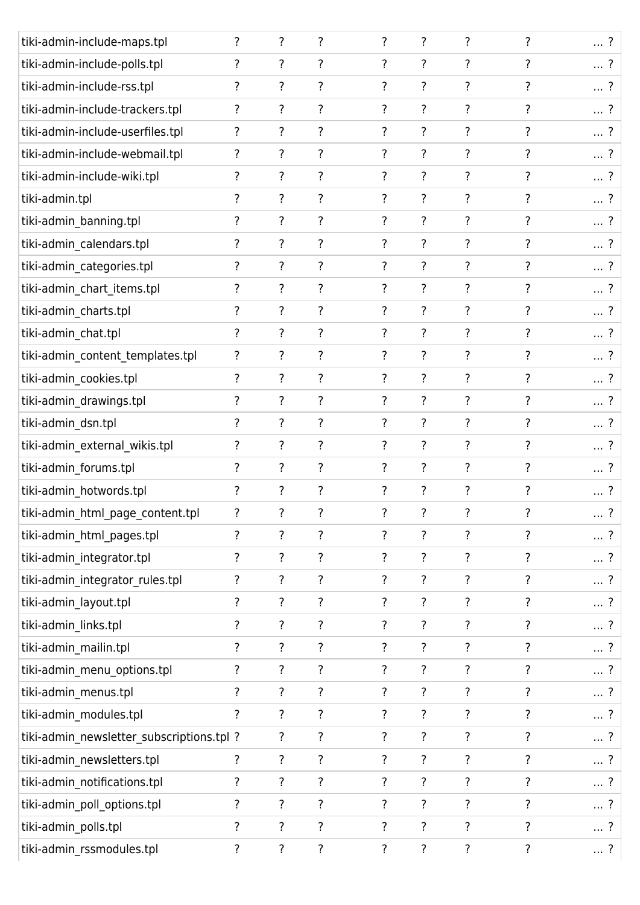| tiki-admin-include-maps.tpl               | ? | ? | ?                  | ? | ?                        | ?                  | ?              | $\ldots$ ? |
|-------------------------------------------|---|---|--------------------|---|--------------------------|--------------------|----------------|------------|
| tiki-admin-include-polls.tpl              | ? | ? | ?                  | ? | ?                        | ?                  | 7              | ?          |
| tiki-admin-include-rss.tpl                | ? | ? | $\overline{\cdot}$ | ? | ?                        | ?                  | ?              | $\ldots$ ? |
| tiki-admin-include-trackers.tpl           | ? | ? | ?                  | ? | $\overline{?}$           | ?                  | ?              | $\ldots$ ? |
| tiki-admin-include-userfiles.tpl          | ? | ? | $\overline{\cdot}$ | ? | $\overline{?}$           | $\overline{\cdot}$ | ?              | $\ldots$ ? |
| tiki-admin-include-webmail.tpl            | ? | ? | ?                  | ? | ?                        | ?                  | ?              | $\ldots$ ? |
| tiki-admin-include-wiki.tpl               | ? | ? | $\overline{\cdot}$ | ? | $\overline{?}$           | ?                  | ?              | $\ldots$ ? |
| tiki-admin.tpl                            | ? | ? | ?                  | ? | $\overline{\cdot}$       | ?                  | ?              | $\ldots$ ? |
| tiki-admin_banning.tpl                    | ? | ? | $\overline{\cdot}$ | ? | $\overline{\cdot}$       | ?                  | ?              | ?          |
| tiki-admin_calendars.tpl                  | ? | ? | ?                  | ? | $\overline{\cdot}$       | ?                  | ?              | $\ldots$ ? |
| tiki-admin_categories.tpl                 | ? | ? | ?                  | ? | ?                        | ?                  | ?              | $\ldots$ ? |
| tiki-admin_chart_items.tpl                | ? | ? | ?                  | ? | $\overline{\cdot}$       | ?                  | ?              | ?          |
| tiki-admin_charts.tpl                     | ? | ? | ?                  | ? | ?                        | ?                  | ?              | ?          |
| tiki-admin_chat.tpl                       | ? | ? | ?                  | ? | ?                        | ?                  | ?              | $\ldots$ ? |
| tiki-admin_content_templates.tpl          | ? | ? | ?                  | ? | ?                        | ?                  | ?              | ?          |
| tiki-admin_cookies.tpl                    | ? | ? | $\overline{\cdot}$ | ? | $\overline{\cdot}$       | ?                  | ?              | $\ldots$ ? |
| tiki-admin_drawings.tpl                   | ? | ? | ?                  | ? | ?                        | ?                  | ?              | ?          |
| tiki-admin dsn.tpl                        | ? | ? | $\overline{\cdot}$ | ? | $\overline{\cdot}$       | $\overline{\cdot}$ | ?              | ?          |
| tiki-admin_external_wikis.tpl             | ? | ? | ?                  | ? | $\overline{?}$           | $\overline{\cdot}$ | ?              | $\ldots$ ? |
| tiki-admin_forums.tpl                     | ? | ? | $\overline{?}$     | ? | $\overline{\cdot}$       | ?                  | ?              | $\ldots$ ? |
| tiki-admin_hotwords.tpl                   | ? | ? | ?                  | ? | ?                        | ?                  |                | -?<br>     |
| tiki-admin_html_page_content.tpl          | ? | ? | ?                  | ? | ?                        | ?                  | $\overline{?}$ | $\ldots$ ? |
| tiki-admin_html_pages.tpl                 | ? | ? | $\overline{\cdot}$ | ? | $\overline{\mathcal{E}}$ | ?                  | ?              | ?          |
| tiki-admin_integrator.tpl                 | ? | ? | $\overline{\cdot}$ | ? | $\overline{\cdot}$       | ?                  | ?              | $\ldots$ ? |
| tiki-admin_integrator_rules.tpl           | ? | ? | ?                  | ? | ?                        | ?                  | ?              | ?          |
| tiki-admin_layout.tpl                     | ? | ? | ?                  | ? | ?                        | ?                  | ?              | $\ldots$ ? |
| tiki-admin_links.tpl                      | ? | ? | ?                  | ? | ?                        | ?                  | ?              | ?          |
| tiki-admin_mailin.tpl                     | ? | ? | $\overline{?}$     | ? | ?                        | ?                  | ?              | $\ldots$ ? |
| tiki-admin_menu_options.tpl               | ? | ? | ?                  | ? | $\overline{\cdot}$       | ?                  | ?              | ?          |
| tiki-admin_menus.tpl                      | ? | ? | $\overline{\cdot}$ | ? | ?                        | ?                  | ?              | $\ldots$ ? |
| tiki-admin_modules.tpl                    | ? | ? | $\overline{\cdot}$ | ? | $\overline{\cdot}$       | ?                  | ?              | $\ldots$ ? |
| tiki-admin_newsletter_subscriptions.tpl ? |   | ? | ?                  | ? | ?                        | ?                  | ?              | $\ldots$ ? |
| tiki-admin_newsletters.tpl                | ? | ? | ?                  | ? | $\overline{\cdot}$       | ?                  | ?              | $\ldots$ ? |
| tiki-admin_notifications.tpl              | ? | ? | ?                  | ? | ?                        | ?                  | ?              | ?          |
| tiki-admin_poll_options.tpl               | ? | ? | ?                  | ? | ?                        | ?                  | ?              | ?          |
| tiki-admin_polls.tpl                      | ? | ? | $\overline{\cdot}$ | ? | ?                        | ?                  | ?              | ?          |
| tiki-admin_rssmodules.tpl                 | ? | ? | ?                  | ? | $\overline{\cdot}$       | ?                  | ?              | ?          |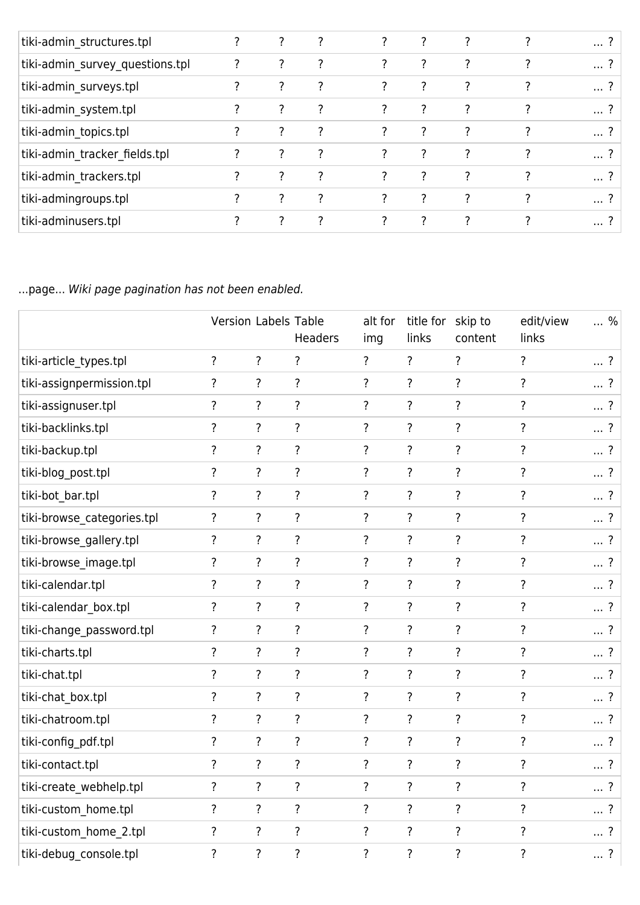| tiki-admin_structures.tpl       | ? |   |   |                |               |   | ?          |
|---------------------------------|---|---|---|----------------|---------------|---|------------|
| tiki-admin_survey_questions.tpl | ? | 7 | ? | ?              | ?             |   | $\ldots$ ? |
| tiki-admin_surveys.tpl          | ? | 7 | ? | ?              | 7             |   | ?          |
| tiki-admin_system.tpl           | ? | 7 | ? | ?              | 7             | ? | $\ldots$ ? |
| tiki-admin topics.tpl           |   | 7 | ? | ?              | 7             | ? | $\ldots$ ? |
| tiki-admin tracker fields.tpl   | ? | 7 | ? | $\overline{?}$ | 7             | 7 | ?          |
| tiki-admin trackers.tpl         | ? | 7 | ? | ?              | ?             |   | ?          |
| tiki-admingroups.tpl            | 7 | 2 | 7 | 7              | $\mathcal{P}$ | 7 | $\ldots$ ? |
| tiki-adminusers.tpl             | 7 | 7 | ? | ?              |               |   | ?          |

...page... Wiki page pagination has not been enabled.

|                            | <b>Version Labels Table</b> |                          | Headers            | alt for<br>img     | title for skip to<br>links | content            | edit/view<br>links       | $\ldots$ % |
|----------------------------|-----------------------------|--------------------------|--------------------|--------------------|----------------------------|--------------------|--------------------------|------------|
| tiki-article types.tpl     | $\overline{?}$              | $\overline{\cdot}$       | $\overline{\cdot}$ | $\overline{\cdot}$ | $\overline{\cdot}$         | $\overline{?}$     | $\overline{\cdot}$       | $\ldots$ ? |
| tiki-assignpermission.tpl  | $\overline{\cdot}$          | $\overline{\cdot}$       | $\overline{\cdot}$ | $\overline{\cdot}$ | $\overline{\cdot}$         | $\overline{\cdot}$ | $\ddot{?}$               | $\ldots$ ? |
| tiki-assignuser.tpl        | $\overline{?}$              | $\overline{\cdot}$       | $\overline{\cdot}$ | $\overline{\cdot}$ | $\overline{?}$             | $\overline{?}$     | $\overline{\cdot}$       | $\ldots$ ? |
| tiki-backlinks.tpl         | $\overline{?}$              | $\overline{\cdot}$       | $\overline{\cdot}$ | $\overline{?}$     | $\overline{\cdot}$         | $\overline{?}$     | $\overline{\cdot}$       | $\ldots$ ? |
| tiki-backup.tpl            | $\overline{\cdot}$          | $\overline{\cdot}$       | $\overline{\cdot}$ | $\overline{\cdot}$ | $\overline{\cdot}$         | $\overline{?}$     | $\overline{\cdot}$       | $\ldots$ ? |
| tiki-blog post.tpl         | $\overline{\cdot}$          | $\overline{\cdot}$       | $\overline{\cdot}$ | $\overline{\cdot}$ | $\overline{\cdot}$         | $\overline{\cdot}$ | $\ddot{?}$               | $\ldots$ ? |
| tiki-bot_bar.tpl           | $\overline{?}$              | $\overline{?}$           | $\overline{\cdot}$ | $\overline{?}$     | $\overline{\cdot}$         | $\overline{\cdot}$ | $\ddot{?}$               | $\ldots$ ? |
| tiki-browse_categories.tpl | $\overline{\cdot}$          | $\overline{?}$           | $\overline{\cdot}$ | $\overline{?}$     | $\overline{\cdot}$         | $\overline{\cdot}$ | $\overline{\cdot}$       | $\ldots$ ? |
| tiki-browse_gallery.tpl    | $\overline{\mathcal{E}}$    | $\overline{\cdot}$       | $\overline{\cdot}$ | $\overline{?}$     | $\overline{\cdot}$         | $\overline{\cdot}$ | $\ddot{?}$               | $\ldots$ ? |
| tiki-browse_image.tpl      | $\overline{\cdot}$          | $\overline{\cdot}$       | $\overline{\cdot}$ | $\overline{?}$     | $\overline{\cdot}$         | $\overline{\cdot}$ | $\overline{\cdot}$       | $\ldots$ ? |
| tiki-calendar.tpl          | $\overline{\cdot}$          | $\overline{\mathcal{L}}$ | $\overline{\cdot}$ | $\overline{\cdot}$ | $\overline{\cdot}$         | $\overline{\cdot}$ | $\overline{\cdot}$       | $\ldots$ ? |
| tiki-calendar_box.tpl      | $\overline{\cdot}$          | $\overline{\cdot}$       | $\overline{\cdot}$ | ?                  | $\overline{\cdot}$         | $\overline{\cdot}$ | $\ddot{?}$               | $\ldots$ ? |
| tiki-change_password.tpl   | $\overline{\cdot}$          | $\overline{\cdot}$       | $\overline{\cdot}$ | ?                  | $\overline{\cdot}$         | $\overline{\cdot}$ | $\ddot{?}$               | $\ldots$ ? |
| tiki-charts.tpl            | $\overline{?}$              | $\overline{\mathcal{L}}$ | $\overline{\cdot}$ | $\overline{?}$     | $\overline{\cdot}$         | $\overline{\cdot}$ | $\ddot{?}$               | $\ldots$ ? |
| tiki-chat.tpl              | $\overline{\cdot}$          | $\overline{?}$           | $\overline{\cdot}$ | ?                  | $\overline{\cdot}$         | $\overline{\cdot}$ | $\overline{\cdot}$       | $\ldots$ ? |
| tiki-chat_box.tpl          | $\overline{\mathcal{E}}$    | $\overline{\mathcal{L}}$ | $\overline{\cdot}$ | $\overline{\cdot}$ | $\overline{\cdot}$         | $\overline{\cdot}$ | $\ddot{?}$               | $\ldots$ ? |
| tiki-chatroom.tpl          | $\overline{\cdot}$          | $\overline{?}$           | $\overline{\cdot}$ | $\overline{\cdot}$ | $\overline{\cdot}$         | $\overline{\cdot}$ | $\overline{\mathcal{E}}$ | $\ldots$ ? |
| tiki-config_pdf.tpl        | $\overline{\cdot}$          | $\overline{\cdot}$       | $\overline{\cdot}$ | $\overline{\cdot}$ | $\overline{\cdot}$         | $\overline{\cdot}$ | $\ddot{?}$               | $\ldots$ ? |
| tiki-contact.tpl           | $\overline{\cdot}$          | $\overline{\mathcal{L}}$ | $\overline{\cdot}$ | $\overline{?}$     | $\overline{\cdot}$         | $\overline{\cdot}$ | $\ddot{?}$               | $\ldots$ ? |
| tiki-create_webhelp.tpl    | $\overline{\cdot}$          | $\overline{?}$           | $\overline{\cdot}$ | $\overline{?}$     | $\overline{\cdot}$         | $\overline{\cdot}$ | $\overline{\cdot}$       | $\ldots$ ? |
| tiki-custom_home.tpl       | $\overline{\mathcal{E}}$    | $\overline{\mathcal{L}}$ | $\overline{\cdot}$ | $\overline{\cdot}$ | $\overline{\cdot}$         | $\overline{\cdot}$ | $\overline{\cdot}$       | $\ldots$ ? |
| tiki-custom home 2.tpl     | $\overline{\cdot}$          | $\overline{\cdot}$       | $\ddot{?}$         | $\overline{\cdot}$ | $\overline{\cdot}$         | $\overline{\cdot}$ | $\ddot{?}$               | $\ldots$ ? |
| tiki-debug_console.tpl     | $\overline{?}$              | $\overline{\cdot}$       | $\overline{?}$     | $\overline{?}$     | $\overline{\cdot}$         | $\overline{?}$     | $\overline{\cdot}$       | $\ldots$ ? |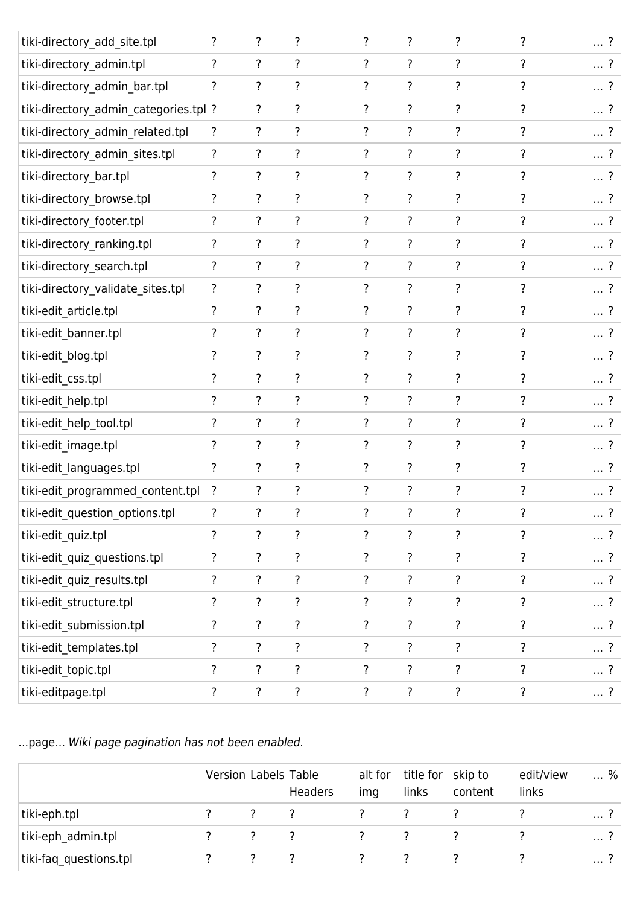| tiki-directory_add_site.tpl           | $\overline{\cdot}$       | $\overline{?}$           | ?                  | ?                        | ?                  | ?                  | ?                  | ?          |
|---------------------------------------|--------------------------|--------------------------|--------------------|--------------------------|--------------------|--------------------|--------------------|------------|
| tiki-directory_admin.tpl              | ?                        | $\overline{\cdot}$       | ?                  | ?                        | ?                  | ?                  | ?                  | ?          |
| tiki-directory_admin_bar.tpl          | ?                        | $\overline{?}$           | ?                  | ?                        | ?                  | ?                  | $\overline{\cdot}$ | ?          |
| tiki-directory_admin_categories.tpl ? |                          | ?                        | ?                  | ?                        | ?                  | ?                  | ?                  | ?          |
| tiki-directory_admin_related.tpl      | ?                        | ?                        | ?                  | ?                        | ?                  | ?                  | ?                  | ?          |
| tiki-directory_admin_sites.tpl        | $\overline{\mathcal{E}}$ | ?                        | ?                  | ?                        | ?                  | ?                  | ?                  | ?          |
| tiki-directory_bar.tpl                | ?                        | $\overline{?}$           | ?                  | ?                        | ?                  | ?                  | ?                  | ?          |
| tiki-directory_browse.tpl             | ?                        | ?                        | ?                  | ?                        | ?                  | ?                  | ?                  | ?          |
| tiki-directory_footer.tpl             | ?                        | ?                        | ?                  | ?                        | ?                  | ?                  | ?                  | ?          |
| tiki-directory_ranking.tpl            | ?                        | ?                        | ?                  | ?                        | ?                  | ?                  | ?                  | ?          |
| tiki-directory_search.tpl             | $\overline{\cdot}$       | ?                        | $\overline{\cdot}$ | ?                        | $\overline{\cdot}$ | ?                  | ?                  | ?          |
| tiki-directory_validate_sites.tpl     | ?                        | ?                        | ?                  | ?                        | ?                  | ?                  | ?                  | ?          |
| tiki-edit_article.tpl                 | ?                        | ?                        | ?                  | ?                        | ?                  | ?                  | ?                  | ?          |
| tiki-edit_banner.tpl                  |                          | ?                        | ?                  | ?                        | $\overline{\cdot}$ | ?                  | ?                  | ?          |
| tiki-edit_blog.tpl                    | ?                        | ?                        | $\ddot{?}$         | ?                        | $\overline{\cdot}$ | ?                  | ?                  | ?          |
| tiki-edit_css.tpl                     | ?                        | $\overline{?}$           | $\ddot{?}$         | $\overline{\cdot}$       | ?                  | ?                  | ?                  | ?          |
| tiki-edit_help.tpl                    | ?                        | ?                        | ?                  | ?                        | ?                  | ?                  | ?                  | ?          |
| tiki-edit_help_tool.tpl               | ?                        | ?                        | ?                  | ?                        | ?                  | ?                  | ?                  | ?          |
| tiki-edit_image.tpl                   | ?                        | $\overline{?}$           | $\ddot{?}$         | $\overline{?}$           | ?                  | ?                  | ?                  | ?          |
| tiki-edit languages.tpl               | $\overline{\cdot}$       | $\overline{?}$           | ?                  | $\overline{\cdot}$       | ?                  | ?                  | ?                  | ?          |
| tiki-edit_programmed_content.tpl      | ?                        | ?                        | ?                  | ?                        | ?                  | ?                  | ?                  |            |
| tiki-edit_question_options.tpl        | ?                        | ?                        | ?                  | $\overline{\mathcal{C}}$ | ?                  | ?                  | ?                  | $\ldots$ ? |
| tiki-edit_quiz.tpl                    | $\overline{\cdot}$       | $\overline{?}$           | $\ddot{?}$         | ?                        | ?                  | ?                  | ?                  | ?          |
| tiki-edit_quiz_questions.tpl          | $\overline{\mathbf{?}}$  | $\overline{?}$           | $\overline{\cdot}$ | $\overline{?}$           | $\overline{\cdot}$ | $\overline{\cdot}$ | $\overline{\cdot}$ | ?          |
| tiki-edit_quiz_results.tpl            | $\overline{\mathcal{E}}$ | $\overline{\mathcal{E}}$ | $\ddot{?}$         | ?                        | ?                  | ?                  | ?                  | ?          |
| tiki-edit_structure.tpl               | $\overline{\mathcal{E}}$ | $\overline{\mathcal{E}}$ | $\overline{\cdot}$ | $\overline{?}$           | ?                  | ?                  | ?                  | ?          |
| tiki-edit_submission.tpl              | $\overline{\mathcal{E}}$ | $\overline{?}$           | $\overline{\cdot}$ | ?                        | $\overline{\cdot}$ | ?                  | ?                  | ?          |
| tiki-edit_templates.tpl               | $\overline{\cdot}$       | $\overline{?}$           | $\overline{\cdot}$ | $\overline{?}$           | $\overline{\cdot}$ | ?                  | $\overline{\cdot}$ | ?          |
| tiki-edit_topic.tpl                   | ?                        | $\overline{\mathcal{E}}$ | $\overline{\cdot}$ | ?                        | $\overline{\cdot}$ | ?                  | ?                  | ?          |
| tiki-editpage.tpl                     | ?                        | $\overline{\mathcal{E}}$ | $\overline{\cdot}$ | ?                        | ?                  | ?                  | $\ddot{\cdot}$     | ?          |

...page... Wiki page pagination has not been enabled.

|                        | Version Labels Table |     | Headers | alt for<br>ima | title for skip to<br>links | content       | edit/view<br>links | % |
|------------------------|----------------------|-----|---------|----------------|----------------------------|---------------|--------------------|---|
| tiki-eph.tpl           |                      | 2 2 |         |                |                            |               |                    | . |
| tiki-eph admin.tpl     |                      | 2 2 |         | 2 2            |                            | $\mathcal{L}$ |                    | . |
| tiki-faq_questions.tpl |                      |     |         |                |                            |               |                    | . |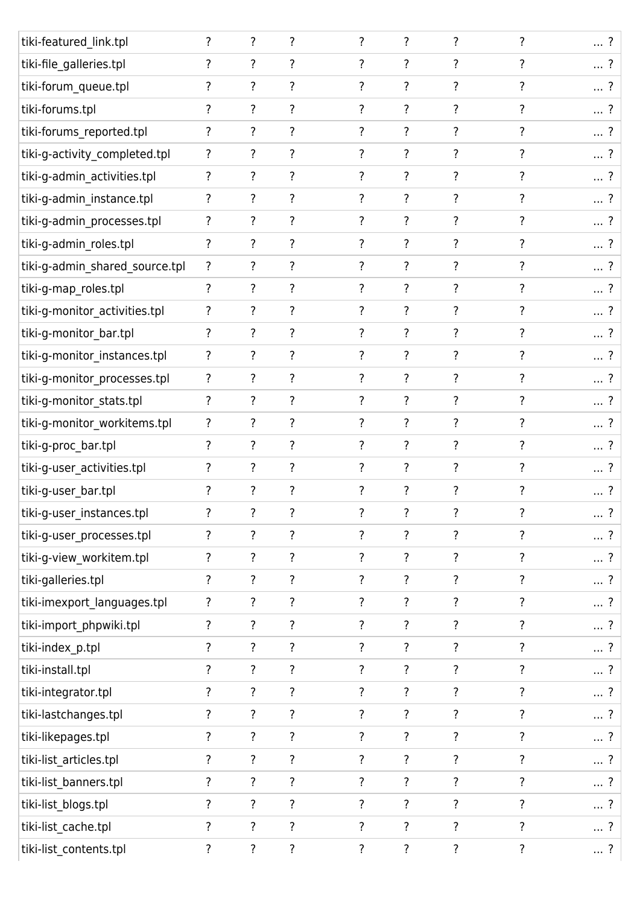| tiki-featured_link.tpl         | $\overline{\cdot}$ | $\overline{?}$           | $\overline{\cdot}$ | ?                  | $\overline{\cdot}$       | $\overline{\cdot}$ | ?                  | $\ldots$ ? |
|--------------------------------|--------------------|--------------------------|--------------------|--------------------|--------------------------|--------------------|--------------------|------------|
| tiki-file_galleries.tpl        | ?                  | $\overline{?}$           | ?                  | ?                  | ?                        | ?                  | ?                  | ?          |
| tiki-forum_queue.tpl           | ?                  | $\overline{?}$           | $\overline{\cdot}$ | ?                  | ?                        | ?                  | $\overline{\cdot}$ | ?          |
| tiki-forums.tpl                | ?                  | ?                        | $\overline{\cdot}$ | ?                  | ?                        | ?                  | ?                  | $\ldots$ ? |
| tiki-forums_reported.tpl       | ?                  | ?                        | ?                  | ?                  | ?                        | ?                  | ?                  | ?          |
| tiki-g-activity_completed.tpl  | ?                  | ?                        | ?                  | ?                  | ?                        | ?                  | 7                  | $\ldots$ ? |
| tiki-g-admin_activities.tpl    | ?                  | $\overline{?}$           | $\overline{?}$     | ?                  | ?                        | $\overline{\cdot}$ | ?                  | ?          |
| tiki-g-admin_instance.tpl      | ?                  | ?                        | ?                  | ?                  | ?                        | ?                  | 7                  | ?          |
| tiki-g-admin_processes.tpl     | ?                  | $\overline{?}$           | ?                  | ?                  | ?                        | ?                  | ?                  | ?          |
| tiki-g-admin_roles.tpl         | ?                  | ?                        | ?                  | ?                  | ?                        | ?                  |                    | ?          |
| tiki-g-admin_shared_source.tpl | ?                  | ?                        | ?                  | ?                  | ?                        | $\overline{?}$     | 7                  | $\ldots$ ? |
| tiki-g-map_roles.tpl           | ?                  | ?                        | ?                  | ?                  | ?                        | ?                  | 7                  | ?          |
| tiki-g-monitor_activities.tpl  | ?                  | ?                        | ?                  | ?                  | ?                        | ?                  | 7                  | $\ldots$ ? |
| tiki-g-monitor_bar.tpl         | $\overline{\cdot}$ | ?                        | ?                  | ?                  | ?                        | ?                  |                    | ?          |
| tiki-g-monitor_instances.tpl   | ?                  | $\overline{?}$           | $\overline{\cdot}$ | ?                  | $\overline{?}$           | $\overline{\cdot}$ | ?                  | $\ldots$ ? |
| tiki-g-monitor_processes.tpl   | $\overline{\cdot}$ | $\overline{?}$           | $\overline{\cdot}$ | ?                  | $\overline{\cdot}$       | $\overline{\cdot}$ | ?                  | ?          |
| tiki-g-monitor_stats.tpl       | ?                  | ?                        | ?                  | ?                  | ?                        | ?                  | ?                  | ?          |
| tiki-g-monitor_workitems.tpl   | ?                  | ?                        | $\overline{\cdot}$ | ?                  | ?                        | $\overline{\cdot}$ | ?                  | ?          |
| tiki-g-proc_bar.tpl            | ?                  | ?                        | $\overline{\cdot}$ | ?                  | ?                        | $\overline{\cdot}$ | ?                  | ?          |
| tiki-g-user_activities.tpl     | ?                  | $\overline{\cdot}$       | $\overline{\cdot}$ | $\ddot{?}$         | $\overline{\cdot}$       | $\overline{\cdot}$ | ?                  | ?          |
| tiki-g-user_bar.tpl            | ?                  | ?                        | ?                  | ?                  | ?                        | ?                  | 7                  | ?<br>      |
| tiki-g-user_instances.tpl      | $\overline{\cdot}$ | $\overline{\mathcal{E}}$ | ?                  | ?                  | ?                        | ?                  | ?                  | $\ldots$ ? |
| tiki-g-user_processes.tpl      | ?                  | $\overline{?}$           | ?                  | ?                  | $\overline{\cdot}$       | ?                  | ?                  | ?          |
| tiki-g-view_workitem.tpl       | $\overline{\cdot}$ | $\overline{\cdot}$       | $\overline{\cdot}$ | $\overline{\cdot}$ | $\overline{\cdot}$       | $\overline{\cdot}$ | $\overline{\cdot}$ | $\ldots$ ? |
| tiki-galleries.tpl             | $\overline{\cdot}$ | $\overline{\cdot}$       | ?                  | ?                  | ?                        | ?                  | ?                  | ?          |
| tiki-imexport_languages.tpl    | $\overline{\cdot}$ | $\overline{\cdot}$       | $\overline{\cdot}$ | $\overline{\cdot}$ | $\overline{\mathcal{E}}$ | $\overline{\cdot}$ | ?                  | ?          |
| tiki-import_phpwiki.tpl        | ?                  | $\overline{\cdot}$       | ?                  | ?                  | ?                        | $\overline{\cdot}$ | ?                  | ?          |
| tiki-index_p.tpl               | $\overline{\cdot}$ | $\overline{\mathcal{E}}$ | $\overline{\cdot}$ | $\overline{\cdot}$ | ?                        | $\overline{\cdot}$ | $\overline{\cdot}$ | ?          |
| tiki-install.tpl               | ?                  | $\ddot{?}$               | $\overline{\cdot}$ | $\ddot{?}$         | ?                        | $\overline{\cdot}$ | ?                  | ?          |
| tiki-integrator.tpl            | ?                  | $\overline{\cdot}$       | $\ddot{?}$         | $\ddot{?}$         | ?                        | $\overline{\cdot}$ | ?                  | ?          |
| tiki-lastchanges.tpl           | ?                  | $\overline{?}$           | $\overline{\cdot}$ | ?                  | ?                        | $\overline{\cdot}$ | ?                  | ?          |
| tiki-likepages.tpl             | ?                  | $\overline{?}$           | $\overline{?}$     | $\overline{\cdot}$ | $\overline{\cdot}$       | $\overline{\cdot}$ | $\overline{\cdot}$ | $\ldots$ ? |
| tiki-list_articles.tpl         | ?                  | $\overline{\cdot}$       | $\overline{\cdot}$ | ?                  | ?                        | $\overline{\cdot}$ | ?                  | ?          |
| tiki-list_banners.tpl          | ?                  | $\overline{\cdot}$       | $\overline{?}$     | $\overline{\cdot}$ | $\overline{\mathsf{?}}$  | $\overline{\cdot}$ | ?                  | $\ldots$ ? |
| tiki-list_blogs.tpl            | ?                  | $\overline{?}$           | $\overline{\cdot}$ | ?                  | $\overline{\cdot}$       | ?                  | $\overline{\cdot}$ | ?          |
| tiki-list_cache.tpl            | ?                  | $\overline{?}$           | $\overline{?}$     | $\overline{?}$     | $\overline{?}$           | $\overline{\cdot}$ | $\overline{?}$     | $\ldots$ ? |
| tiki-list_contents.tpl         | ?                  | $\overline{\cdot}$       | $\overline{\cdot}$ | ?                  | $\overline{\cdot}$       | $\overline{\cdot}$ | $\overline{\cdot}$ | ?          |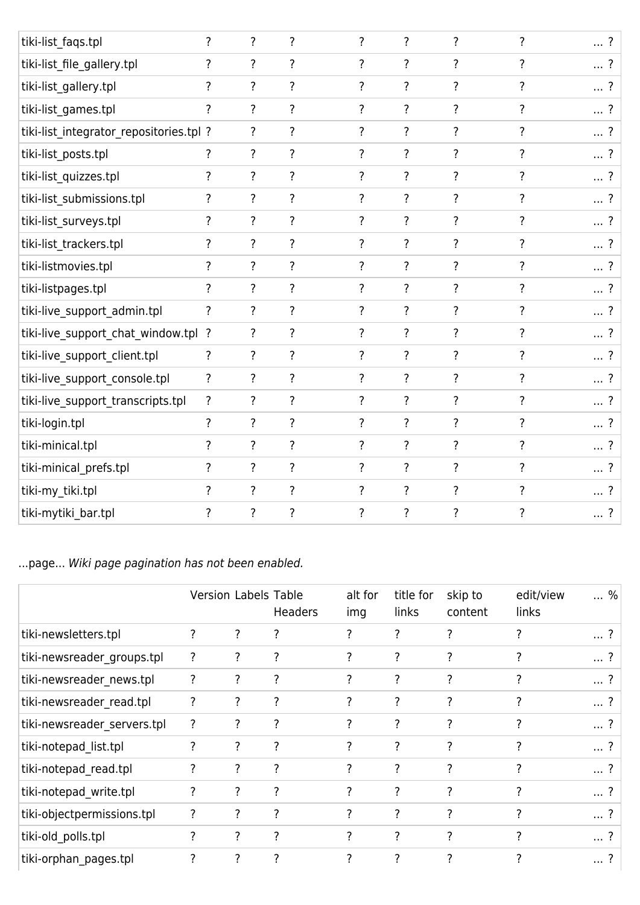| ?                                       | $\overline{\cdot}$       | $\overline{\cdot}$ | $\overline{\cdot}$ | $\overline{\cdot}$ | ?                        | ? | ?          |
|-----------------------------------------|--------------------------|--------------------|--------------------|--------------------|--------------------------|---|------------|
| ?                                       | ?                        | ?                  | ?                  | $\overline{?}$     | ?                        |   | ?          |
| ?                                       | $\overline{\cdot}$       | $\overline{\cdot}$ | $\overline{?}$     | $\overline{\cdot}$ | $\overline{\cdot}$       | ? | ?          |
| ?                                       | $\overline{?}$           | $\overline{\cdot}$ | $\overline{\cdot}$ | $\overline{?}$     | ?                        | ? | ?          |
| tiki-list_integrator_repositories.tpl ? | ?                        | ?                  | $\overline{\cdot}$ | ?                  | ?                        | ? | ?          |
| ?                                       | $\overline{?}$           | $\overline{\cdot}$ | $\overline{\cdot}$ | $\overline{\cdot}$ | $\overline{\mathcal{E}}$ | ? | $\ldots$ ? |
| ?                                       | $\overline{\cdot}$       | ?                  | $\overline{\cdot}$ | $\overline{?}$     | ?                        | ? | ?          |
| ?                                       | ?                        | $\overline{\cdot}$ | ?                  | $\overline{\cdot}$ | ?                        | ? | ?          |
| ?                                       | $\overline{\cdot}$       | ?                  | ?                  | $\overline{\cdot}$ | ?                        | ? | ?          |
| ?                                       | $\overline{\cdot}$       | $\overline{\cdot}$ | ?                  | $\overline{\cdot}$ | ?                        | ? | ?          |
| ?                                       | $\overline{?}$           | ?                  | ?                  | $\overline{\cdot}$ | ?                        | ? | ?          |
| ?                                       | $\overline{\mathcal{C}}$ | ?                  | $\overline{\cdot}$ | ?                  | $\overline{\cdot}$       | 7 | ?          |
| ?                                       | $\overline{?}$           | $\overline{\cdot}$ | $\overline{\cdot}$ | ?                  | ?                        | ? | $\ldots$ ? |
| tiki-live_support_chat_window.tpl ?     | $\overline{?}$           | $\overline{\cdot}$ | $\overline{\cdot}$ | $\overline{?}$     | ?                        | ? | ?          |
| ?                                       | ?                        | ?                  | $\overline{\cdot}$ | ?                  | ?                        | ? | ?          |
| $\overline{\cdot}$                      | $\overline{?}$           | ?                  | $\overline{\cdot}$ | $\overline{\cdot}$ | ?                        | ? | ?          |
| $\overline{\cdot}$                      | $\overline{\cdot}$       | ?                  | $\overline{\cdot}$ | $\overline{\cdot}$ | ?                        | ? | ?          |
| $\overline{\cdot}$                      | $\overline{?}$           | ?                  | $\overline{\cdot}$ | ?                  | ?                        | ? | ?          |
| ?                                       | $\overline{?}$           | ?                  | $\overline{\cdot}$ | $\overline{\cdot}$ | ?                        | ? | $\ldots$ ? |
| ?                                       | $\overline{\cdot}$       | ?                  | $\overline{\cdot}$ | $\overline{\cdot}$ | ?                        | ? | ?          |
| ?                                       | $\overline{?}$           | ?                  | ?                  | ?                  | ?                        | ? | ?          |
| ?                                       | $\overline{\cdot}$       | ?                  | $\overline{\cdot}$ | ?                  | $\overline{\cdot}$       | ? | ?          |
|                                         |                          |                    |                    |                    |                          |   |            |

## ...page... Wiki page pagination has not been enabled.

|                             | <b>Version Labels Table</b> |                | <b>Headers</b> | alt for<br>img | title for<br>links | skip to<br>content | edit/view<br>links | %    |
|-----------------------------|-----------------------------|----------------|----------------|----------------|--------------------|--------------------|--------------------|------|
| tiki-newsletters.tpl        | ?                           | ?              |                | ?              | ?                  | ?                  | ?                  | ?    |
| tiki-newsreader_groups.tpl  | ?                           | ?              | ?              | ?              | $\overline{?}$     | $\overline{\cdot}$ | ?                  | ?    |
| tiki-newsreader_news.tpl    | ?                           | ?              | ?              | ?              | ?                  | $\overline{?}$     | 7                  | ?    |
| tiki-newsreader_read.tpl    | ?                           | ?              | ?              | ?              | ?                  | ?                  | ?                  | ?    |
| tiki-newsreader_servers.tpl | ?                           | ?              | ?              | ?              | $\overline{\cdot}$ | ?                  | 2                  | ?    |
| tiki-notepad_list.tpl       | ?                           | $\overline{?}$ | ?              | ?              | ?                  | ?                  | 7                  | ?    |
| tiki-notepad read.tpl       | ?                           | $\overline{?}$ | ?              | ?              | ?                  | ?                  | 7                  | ?    |
| tiki-notepad write.tpl      | ?                           | ?              | ?              | ?              | ?                  | ?                  | ?                  | ?    |
| tiki-objectpermissions.tpl  | ?                           | ?              | ?              | ?              | ?                  | ?                  |                    | . ?  |
| tiki-old_polls.tpl          | ?                           | ?              | $\overline{?}$ | ?              | ?                  | ?                  | ?                  | ?    |
| tiki-orphan_pages.tpl       | ?                           | ?              | 7              | $\overline{?}$ | $\overline{\cdot}$ | 7                  |                    | ا ست |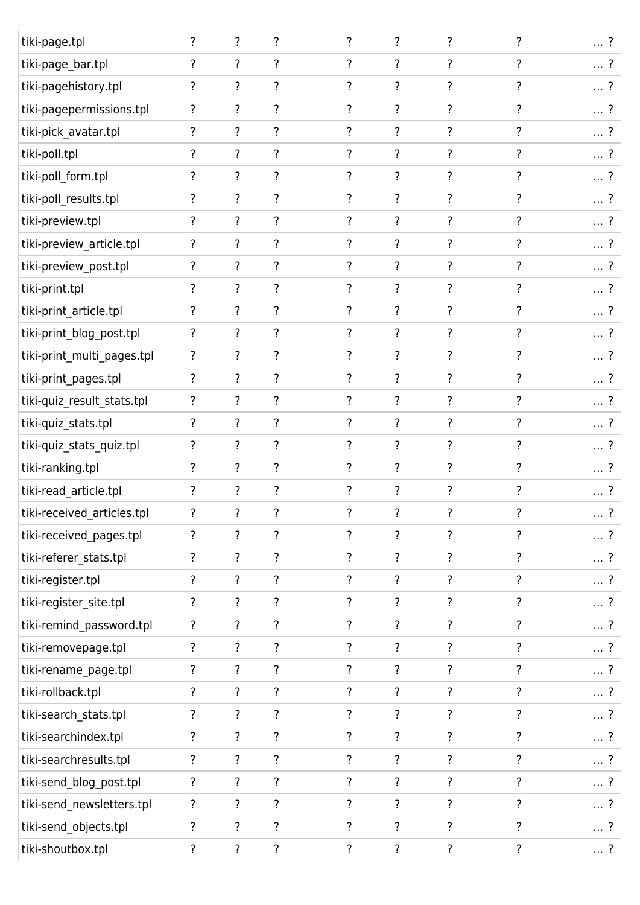| tiki-page.tpl              | ?                  | $\overline{\cdot}$       | $\overline{\cdot}$       | $\overline{\cdot}$ | $\overline{\cdot}$ | $\overline{\cdot}$ | $\overline{\cdot}$ | $\ldots$ ? |
|----------------------------|--------------------|--------------------------|--------------------------|--------------------|--------------------|--------------------|--------------------|------------|
| tiki-page_bar.tpl          | ?                  | $\overline{?}$           | $\overline{\cdot}$       | ?                  | ?                  | ?                  | ?                  | ?          |
| tiki-pagehistory.tpl       | ?                  | $\overline{?}$           | $\overline{?}$           | $\overline{\cdot}$ | $\overline{\cdot}$ | $\overline{\cdot}$ | $\overline{\cdot}$ | $\ldots$ ? |
| tiki-pagepermissions.tpl   | ?                  | $\overline{?}$           | $\overline{?}$           | ?                  | ?                  | ?                  | ?                  | ?          |
| tiki-pick_avatar.tpl       | ?                  | $\overline{\cdot}$       | $\overline{\cdot}$       | $\overline{?}$     | ?                  | $\overline{\cdot}$ | ?                  | $\ldots$ ? |
| tiki-poll.tpl              | ?                  | ?                        | ?                        | ?                  | ?                  | ?                  | ?                  | $\ldots$ ? |
| tiki-poll_form.tpl         | ?                  | $\overline{?}$           | $\overline{?}$           | $\overline{\cdot}$ | $\overline{\cdot}$ | $\overline{\cdot}$ | $\overline{\cdot}$ | $\ldots$ ? |
| tiki-poll_results.tpl      | ?                  | ?                        | $\overline{\cdot}$       | $\overline{?}$     | ?                  | ?                  | ?                  | ?          |
| tiki-preview.tpl           | ?                  | $\overline{\cdot}$       | $\overline{\cdot}$       | $\overline{?}$     | ?                  | ?                  | ?                  | $\ldots$ ? |
| tiki-preview_article.tpl   | ?                  | ?                        | ?                        | ?                  | ?                  | ?                  | ?                  | ?          |
| tiki-preview_post.tpl      | ?                  | $\overline{?}$           | $\overline{?}$           | ?                  | ?                  | ?                  | ?                  | $\ldots$ ? |
| tiki-print.tpl             | ?                  | $\overline{\cdot}$       | $\overline{\cdot}$       | ?                  | ?                  | ?                  | ?                  | $\ldots$ ? |
| tiki-print_article.tpl     | ?                  | $\overline{\cdot}$       | $\overline{?}$           | ?                  | ?                  | ?                  | ?                  | ?          |
| tiki-print_blog_post.tpl   | ?                  | ?                        | ?                        | 7                  | ?                  | ?                  | ?                  | $\ldots$ ? |
| tiki-print_multi_pages.tpl | ?                  | $\overline{?}$           | $\overline{?}$           | ?                  | ?                  | ?                  | ?                  | $\ldots$ ? |
| tiki-print_pages.tpl       | ?                  | $\overline{?}$           | ?                        | ?                  | ?                  | ?                  | ?                  | ?          |
| tiki-quiz_result_stats.tpl | ?                  | ?                        | $\overline{?}$           | ?                  | ?                  | ?                  | ?                  | $\ldots$ ? |
| tiki-quiz_stats.tpl        | ?                  | $\overline{\cdot}$       | ?                        | ?                  | ?                  | ?                  | ?                  | $\ldots$ ? |
| tiki-quiz_stats_quiz.tpl   | ?                  | $\overline{?}$           | $\overline{?}$           | ?                  | ?                  | ?                  | ?                  | $\ldots$ ? |
| tiki-ranking.tpl           | ?                  | $\overline{\cdot}$       | $\overline{?}$           | $\overline{?}$     | $\overline{\cdot}$ | $\overline{\cdot}$ | ?                  | ?          |
| tiki-read_article.tpl      | ?                  | ?                        | ?                        | ?                  | ?                  | ?                  | ?                  | $\ldots$ ? |
| tiki-received_articles.tpl | $\overline{\cdot}$ | $\overline{\mathcal{E}}$ | ?                        | ?                  | ?                  | ?                  | ?                  | $\ldots$ ? |
| tiki-received_pages.tpl    | ?                  | ?                        | ?                        | $\overline{\cdot}$ | ?                  | ?                  | ?                  | $\ldots$ ? |
| tiki-referer_stats.tpl     | $\overline{\cdot}$ | $\overline{\cdot}$       | $\overline{\cdot}$       | $\overline{?}$     | ?                  | $\overline{\cdot}$ | ?                  | $\ldots$ ? |
| tiki-register.tpl          | $\overline{?}$     | ?                        | $\overline{\mathcal{E}}$ | $\overline{?}$     | $\overline{\cdot}$ | $\overline{\cdot}$ | $\overline{\cdot}$ | ?          |
| tiki-register_site.tpl     | $\overline{\cdot}$ | $\overline{\cdot}$       | $\overline{\mathbf{?}}$  | $\overline{\cdot}$ | $\overline{\cdot}$ | ?                  | ?                  | $\ldots$ ? |
| tiki-remind_password.tpl   | ?                  | $\overline{?}$           | $\overline{\cdot}$       | $\overline{?}$     | $\overline{\cdot}$ | $\overline{\cdot}$ | ?                  | ?          |
| tiki-removepage.tpl        | $\overline{\cdot}$ | $\overline{\mathcal{E}}$ | $\overline{\cdot}$       | $\overline{\cdot}$ | ?                  | ?                  | $\overline{\cdot}$ | $\ldots$ ? |
| tiki-rename_page.tpl       | ?                  | $\overline{\cdot}$       | $\overline{\mathcal{E}}$ | $\overline{\cdot}$ | $\overline{\cdot}$ | ?                  | ?                  | $\ldots$ ? |
| tiki-rollback.tpl          | ?                  | $\overline{\mathcal{E}}$ | $\ddot{?}$               | $\overline{\cdot}$ | ?                  | ?                  | ?                  | $\ldots$ ? |
| tiki-search_stats.tpl      | ?                  | $\overline{\cdot}$       | $\overline{\cdot}$       | $\overline{?}$     | ?                  | ?                  | ?                  | ?          |
| tiki-searchindex.tpl       | ?                  | $\overline{\cdot}$       | $\overline{\cdot}$       | $\overline{?}$     | ?                  | ?                  | ?                  | $\ldots$ ? |
| tiki-searchresults.tpl     | $\overline{?}$     | $\overline{\cdot}$       | $\overline{\cdot}$       | $\overline{\cdot}$ | ?                  | ?                  | ?                  | ?          |
| tiki-send_blog_post.tpl    | ?                  | $\overline{\cdot}$       | $\overline{\mathbf{?}}$  | ?                  | $\overline{\cdot}$ | ?                  | ?                  | $\ldots$ ? |
| tiki-send_newsletters.tpl  | ?                  | $\overline{\cdot}$       | ?                        | ?                  | ?                  | ?                  | ?                  | $\ldots$ ? |
| tiki-send_objects.tpl      | ?                  | $\overline{\mathcal{E}}$ | $\overline{\cdot}$       | $\overline{?}$     | $\overline{?}$     | $\overline{\cdot}$ | ?                  | $\ldots$ ? |
| tiki-shoutbox.tpl          | ?                  | $\overline{?}$           | $\overline{\cdot}$       | ?                  | ?                  | ?                  | ?                  | $\ldots$ ? |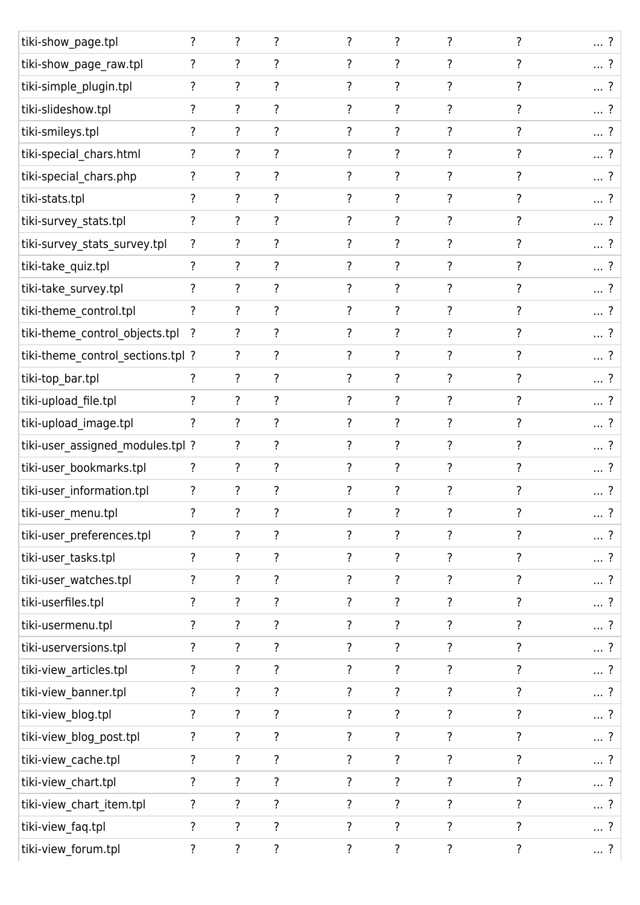| tiki-show_page.tpl                | $\overline{\cdot}$ | $\overline{\cdot}$       | ?                  | $\overline{\cdot}$       | $\overline{\cdot}$ | $\overline{\cdot}$ | ?                  | ?             |
|-----------------------------------|--------------------|--------------------------|--------------------|--------------------------|--------------------|--------------------|--------------------|---------------|
| tiki-show_page_raw.tpl            | ?                  | ?                        | ?                  | ?                        | ?                  | ?                  | ?                  | ?             |
| tiki-simple_plugin.tpl            | $\overline{\cdot}$ | $\overline{?}$           | $\overline{\cdot}$ | $\overline{\cdot}$       | ?                  | $\overline{\cdot}$ | $\overline{\cdot}$ | ?             |
| tiki-slideshow.tpl                | ?                  | ?                        | ?                  | ?                        | ?                  | ?                  | ?                  | ?             |
| tiki-smileys.tpl                  | ?                  | ?                        | ?                  | ?                        | ?                  | ?                  | ?                  | ?             |
| tiki-special_chars.html           | ?                  | $\overline{\mathcal{E}}$ | ?                  | ?                        | ?                  | ?                  | ?                  | ?             |
| tiki-special_chars.php            | ?                  | $\overline{\cdot}$       | ?                  | ?                        | ?                  | ?                  | ?                  | ?             |
| tiki-stats.tpl                    | ?                  | ?                        | ?                  | ?                        | ?                  | ?                  | ?                  | ?             |
| tiki-survey_stats.tpl             | ?                  | $\overline{\cdot}$       | ?                  | ?                        | ?                  | ?                  | ?                  | $\ldots$ ?    |
| tiki-survey_stats_survey.tpl      | ?                  | ?                        | ?                  | 7                        | ?                  | ?                  |                    | $\ldots$ ?    |
| tiki-take_quiz.tpl                | ?                  | $\overline{\cdot}$       | ?                  | ?                        | ?                  | ?                  | ?                  | ?             |
| tiki-take_survey.tpl              | ?                  | ?                        | ?                  | ?                        | ?                  | ?                  | ?                  | ?             |
| tiki-theme_control.tpl            | ?                  | ?                        | ?                  | 7                        | ?                  | ?                  | ?                  | $\ldots$ ?    |
| tiki-theme_control_objects.tpl    | ?                  | ?                        | ?                  | ?                        | ?                  | ?                  |                    | $\ldots$ ?    |
| tiki-theme_control_sections.tpl ? |                    | ?                        | ?                  | ?                        | ?                  | ?                  | ?                  | $\ldots$ ?    |
| tiki-top_bar.tpl                  | $\overline{\cdot}$ | $\overline{\cdot}$       | $\overline{?}$     | ?                        | ?                  | ?                  | ?                  | $\ldots$ ?    |
| tiki-upload_file.tpl              | ?                  | ?                        | ?                  | ?                        | ?                  | ?                  | ?                  | ?             |
| tiki-upload_image.tpl             | $\overline{\cdot}$ | ?                        | ?                  | ?                        | ?                  | ?                  | ?                  | ?             |
| tiki-user_assigned_modules.tpl ?  |                    | ?                        | ?                  | ?                        | ?                  | ?                  | ?                  | ?             |
| tiki-user_bookmarks.tpl           | ?                  | $\overline{\cdot}$       | $\overline{\cdot}$ | $\overline{?}$           | ?                  | ?                  | ?                  | ?             |
| tiki-user_information.tpl         | ?                  | ?                        | ?                  | 7                        | ?                  | ?                  | ?                  | $\cdot$ ?<br> |
| tiki-user_menu.tpl                | $\overline{\cdot}$ | $\ddot{?}$               | ?                  | $\overline{\mathcal{E}}$ | ?                  | ?                  | ?                  | $\ldots$ ?    |
| tiki-user_preferences.tpl         | ?                  | ?                        | ?                  | $\overline{\cdot}$       | ?                  | ?                  | ?                  | ?             |
| tiki-user_tasks.tpl               | $\overline{\cdot}$ | $\overline{\cdot}$       | ?                  | $\overline{?}$           | $\overline{\cdot}$ | $\overline{\cdot}$ | $\overline{\cdot}$ | $\ldots$ ?    |
| tiki-user_watches.tpl             | ?                  | $\overline{\cdot}$       | ?                  | $\overline{\cdot}$       | ?                  | ?                  | ?                  | $\ldots$ ?    |
| tiki-userfiles.tpl                | ?                  | $\overline{\cdot}$       | ?                  | $\overline{\cdot}$       | $\overline{\cdot}$ | $\overline{\cdot}$ | ?                  | $\ldots$ ?    |
| tiki-usermenu.tpl                 | ?                  | ?                        | ?                  | ?                        | ?                  | ?                  | ?                  | $\ldots$ ?    |
| tiki-userversions.tpl             | $\overline{\cdot}$ | $\overline{\cdot}$       | $\overline{\cdot}$ | $\overline{?}$           | $\overline{\cdot}$ | $\overline{\cdot}$ | ?                  | $\ldots$ ?    |
| tiki-view_articles.tpl            | ?                  | ?                        | ?                  | $\overline{\cdot}$       | ?                  | ?                  | ?                  | ?             |
| tiki-view_banner.tpl              | ?                  | $\overline{\cdot}$       | $\overline{\cdot}$ | ?                        | $\overline{\cdot}$ | $\overline{\cdot}$ | ?                  | $\ldots$ ?    |
| tiki-view_blog.tpl                | ?                  | ?                        | ?                  | ?                        | ?                  | ?                  | ?                  | $\ldots$ ?    |
| tiki-view_blog_post.tpl           | ?                  | $\overline{\cdot}$       | $\overline{?}$     | $\overline{\cdot}$       | ?                  | ?                  | ?                  | $\ldots$ ?    |
| tiki-view_cache.tpl               | $\overline{\cdot}$ | $\overline{\cdot}$       | ?                  | $\overline{?}$           | ?                  | ?                  | ?                  | $\ldots$ ?    |
| tiki-view_chart.tpl               | ?                  | $\overline{\cdot}$       | $\overline{\cdot}$ | $\overline{?}$           | ?                  | ?                  | ?                  | $\ldots$ ?    |
| tiki-view_chart_item.tpl          | ?                  | $\overline{?}$           | ?                  | ?                        | ?                  | ?                  | ?                  | $\ldots$ ?    |
| tiki-view_faq.tpl                 | ?                  | $\overline{?}$           | $\overline{?}$     | $\overline{?}$           | ?                  | $\overline{?}$     | $\overline{?}$     | $\ldots$ ?    |
| tiki-view_forum.tpl               | ?                  | ?                        | $\overline{\cdot}$ | $\overline{\cdot}$       | $\ddot{?}$         | ?                  | ?                  | ?             |